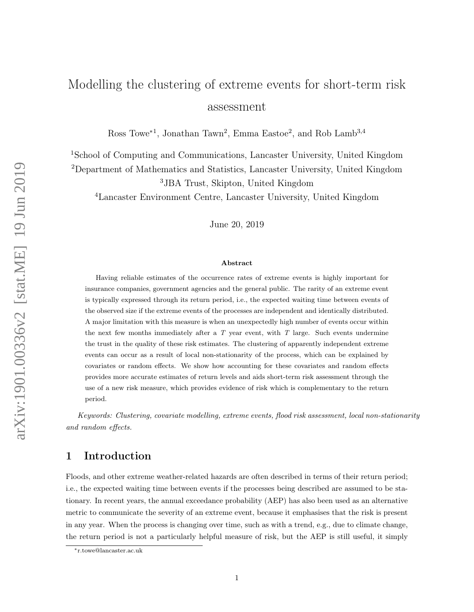# Modelling the clustering of extreme events for short-term risk assessment

Ross Towe<sup>\*1</sup>, Jonathan Tawn<sup>2</sup>, Emma Eastoe<sup>2</sup>, and Rob Lamb<sup>3,4</sup>

<sup>1</sup>School of Computing and Communications, Lancaster University, United Kingdom <sup>2</sup>Department of Mathematics and Statistics, Lancaster University, United Kingdom <sup>3</sup>JBA Trust, Skipton, United Kingdom

<sup>4</sup>Lancaster Environment Centre, Lancaster University, United Kingdom

June 20, 2019

#### Abstract

Having reliable estimates of the occurrence rates of extreme events is highly important for insurance companies, government agencies and the general public. The rarity of an extreme event is typically expressed through its return period, i.e., the expected waiting time between events of the observed size if the extreme events of the processes are independent and identically distributed. A major limitation with this measure is when an unexpectedly high number of events occur within the next few months immediately after a  $T$  year event, with  $T$  large. Such events undermine the trust in the quality of these risk estimates. The clustering of apparently independent extreme events can occur as a result of local non-stationarity of the process, which can be explained by covariates or random effects. We show how accounting for these covariates and random effects provides more accurate estimates of return levels and aids short-term risk assessment through the use of a new risk measure, which provides evidence of risk which is complementary to the return period.

Keywords: Clustering, covariate modelling, extreme events, flood risk assessment, local non-stationarity and random effects.

# <span id="page-0-0"></span>1 Introduction

Floods, and other extreme weather-related hazards are often described in terms of their return period; i.e., the expected waiting time between events if the processes being described are assumed to be stationary. In recent years, the annual exceedance probability (AEP) has also been used as an alternative metric to communicate the severity of an extreme event, because it emphasises that the risk is present in any year. When the process is changing over time, such as with a trend, e.g., due to climate change, the return period is not a particularly helpful measure of risk, but the AEP is still useful, it simply

<sup>∗</sup>r.towe@lancaster.ac.uk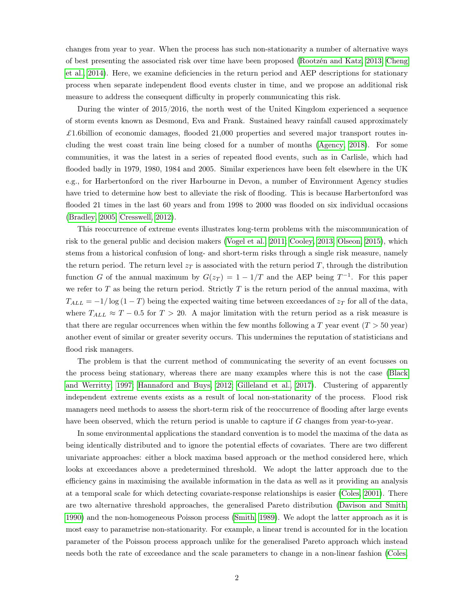changes from year to year. When the process has such non-stationarity a number of alternative ways of best presenting the associated risk over time have been proposed [\(Rootzén and Katz, 2013;](#page-20-0) [Cheng](#page-18-0) [et al., 2014\)](#page-18-0). Here, we examine deficiencies in the return period and AEP descriptions for stationary process when separate independent flood events cluster in time, and we propose an additional risk measure to address the consequent difficulty in properly communicating this risk.

During the winter of 2015/2016, the north west of the United Kingdom experienced a sequence of storm events known as Desmond, Eva and Frank. Sustained heavy rainfall caused approximately £1.6billion of economic damages, flooded 21,000 properties and severed major transport routes including the west coast train line being closed for a number of months [\(Agency, 2018\)](#page-18-1). For some communities, it was the latest in a series of repeated flood events, such as in Carlisle, which had flooded badly in 1979, 1980, 1984 and 2005. Similar experiences have been felt elsewhere in the UK e.g., for Harbertonford on the river Harbourne in Devon, a number of Environment Agency studies have tried to determine how best to alleviate the risk of flooding. This is because Harbertonford was flooded 21 times in the last 60 years and from 1998 to 2000 was flooded on six individual occasions [\(Bradley, 2005;](#page-18-2) [Cresswell, 2012\)](#page-19-0).

This reoccurrence of extreme events illustrates long-term problems with the miscommunication of risk to the general public and decision makers [\(Vogel et al., 2011;](#page-20-1) [Cooley, 2013;](#page-18-3) [Olseon, 2015\)](#page-20-2), which stems from a historical confusion of long- and short-term risks through a single risk measure, namely the return period. The return level  $z_T$  is associated with the return period T, through the distribution function G of the annual maximum by  $G(z_T) = 1 - 1/T$  and the AEP being  $T^{-1}$ . For this paper we refer to  $T$  as being the return period. Strictly  $T$  is the return period of the annual maxima, with  $T_{ALL} = -1/\log(1-T)$  being the expected waiting time between exceedances of  $z_T$  for all of the data, where  $T_{ALL} \approx T - 0.5$  for  $T > 20$ . A major limitation with the return period as a risk measure is that there are regular occurrences when within the few months following a T year event  $(T > 50 \text{ year})$ another event of similar or greater severity occurs. This undermines the reputation of statisticians and flood risk managers.

The problem is that the current method of communicating the severity of an event focusses on the process being stationary, whereas there are many examples where this is not the case [\(Black](#page-18-4) [and Werritty, 1997;](#page-18-4) [Hannaford and Buys, 2012;](#page-19-1) [Gilleland et al., 2017\)](#page-19-2). Clustering of apparently independent extreme events exists as a result of local non-stationarity of the process. Flood risk managers need methods to assess the short-term risk of the reoccurrence of flooding after large events have been observed, which the return period is unable to capture if G changes from year-to-year.

In some environmental applications the standard convention is to model the maxima of the data as being identically distributed and to ignore the potential effects of covariates. There are two different univariate approaches: either a block maxima based approach or the method considered here, which looks at exceedances above a predetermined threshold. We adopt the latter approach due to the efficiency gains in maximising the available information in the data as well as it providing an analysis at a temporal scale for which detecting covariate-response relationships is easier [\(Coles, 2001\)](#page-18-5). There are two alternative threshold approaches, the generalised Pareto distribution [\(Davison and Smith,](#page-19-3) [1990\)](#page-19-3) and the non-homogeneous Poisson process [\(Smith, 1989\)](#page-20-3). We adopt the latter approach as it is most easy to parametrise non-stationarity. For example, a linear trend is accounted for in the location parameter of the Poisson process approach unlike for the generalised Pareto approach which instead needs both the rate of exceedance and the scale parameters to change in a non-linear fashion [\(Coles,](#page-18-5)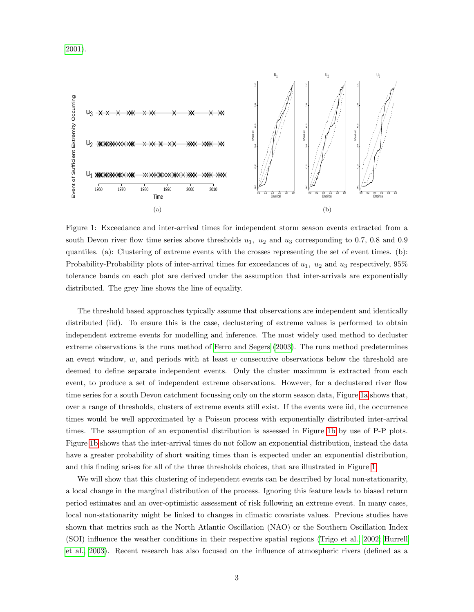<span id="page-2-2"></span>[2001\)](#page-18-5).

<span id="page-2-0"></span>

<span id="page-2-1"></span>Figure 1: Exceedance and inter-arrival times for independent storm season events extracted from a south Devon river flow time series above thresholds  $u_1$ ,  $u_2$  and  $u_3$  corresponding to 0.7, 0.8 and 0.9 quantiles. (a): Clustering of extreme events with the crosses representing the set of event times. (b): Probability-Probability plots of inter-arrival times for exceedances of  $u_1$ ,  $u_2$  and  $u_3$  respectively,  $95\%$ tolerance bands on each plot are derived under the assumption that inter-arrivals are exponentially distributed. The grey line shows the line of equality.

The threshold based approaches typically assume that observations are independent and identically distributed (iid). To ensure this is the case, declustering of extreme values is performed to obtain independent extreme events for modelling and inference. The most widely used method to decluster extreme observations is the runs method of [Ferro and Segers](#page-19-4) [\(2003\)](#page-19-4). The runs method predetermines an event window,  $w$ , and periods with at least  $w$  consecutive observations below the threshold are deemed to define separate independent events. Only the cluster maximum is extracted from each event, to produce a set of independent extreme observations. However, for a declustered river flow time series for a south Devon catchment focussing only on the storm season data, Figure [1a](#page-2-0) shows that, over a range of thresholds, clusters of extreme events still exist. If the events were iid, the occurrence times would be well approximated by a Poisson process with exponentially distributed inter-arrival times. The assumption of an exponential distribution is assessed in Figure [1b](#page-2-1) by use of P-P plots. Figure [1b](#page-2-1) shows that the inter-arrival times do not follow an exponential distribution, instead the data have a greater probability of short waiting times than is expected under an exponential distribution, and this finding arises for all of the three thresholds choices, that are illustrated in Figure [1.](#page-2-2)

We will show that this clustering of independent events can be described by local non-stationarity, a local change in the marginal distribution of the process. Ignoring this feature leads to biased return period estimates and an over-optimistic assessment of risk following an extreme event. In many cases, local non-stationarity might be linked to changes in climatic covariate values. Previous studies have shown that metrics such as the North Atlantic Oscillation (NAO) or the Southern Oscillation Index (SOI) influence the weather conditions in their respective spatial regions [\(Trigo et al., 2002;](#page-20-4) [Hurrell](#page-19-5) [et al., 2003\)](#page-19-5). Recent research has also focused on the influence of atmospheric rivers (defined as a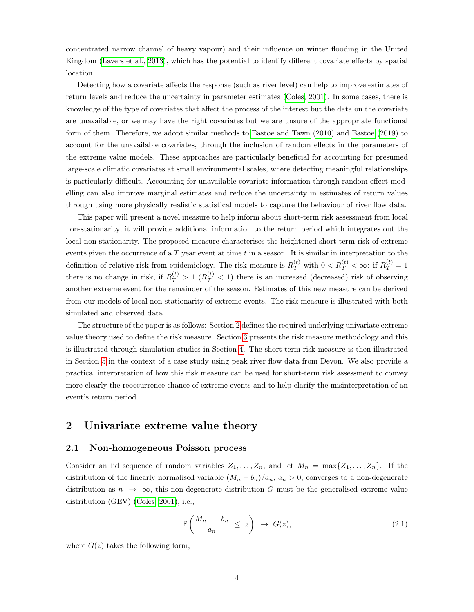concentrated narrow channel of heavy vapour) and their influence on winter flooding in the United Kingdom [\(Lavers et al., 2013\)](#page-19-6), which has the potential to identify different covariate effects by spatial location.

Detecting how a covariate affects the response (such as river level) can help to improve estimates of return levels and reduce the uncertainty in parameter estimates [\(Coles, 2001\)](#page-18-5). In some cases, there is knowledge of the type of covariates that affect the process of the interest but the data on the covariate are unavailable, or we may have the right covariates but we are unsure of the appropriate functional form of them. Therefore, we adopt similar methods to [Eastoe and Tawn](#page-19-7) [\(2010\)](#page-19-7) and [Eastoe](#page-19-8) [\(2019\)](#page-19-8) to account for the unavailable covariates, through the inclusion of random effects in the parameters of the extreme value models. These approaches are particularly beneficial for accounting for presumed large-scale climatic covariates at small environmental scales, where detecting meaningful relationships is particularly difficult. Accounting for unavailable covariate information through random effect modelling can also improve marginal estimates and reduce the uncertainty in estimates of return values through using more physically realistic statistical models to capture the behaviour of river flow data.

This paper will present a novel measure to help inform about short-term risk assessment from local non-stationarity; it will provide additional information to the return period which integrates out the local non-stationarity. The proposed measure characterises the heightened short-term risk of extreme events given the occurrence of a  $T$  year event at time  $t$  in a season. It is similar in interpretation to the definition of relative risk from epidemiology. The risk measure is  $R_T^{(t)}$  with  $0 < R_T^{(t)} < \infty$ : if  $R_T^{(t)} = 1$ there is no change in risk, if  $R_T^{(t)} > 1$  ( $R_T^{(t)} < 1$ ) there is an increased (decreased) risk of observing another extreme event for the remainder of the season. Estimates of this new measure can be derived from our models of local non-stationarity of extreme events. The risk measure is illustrated with both simulated and observed data.

The structure of the paper is as follows: Section [2](#page-3-0) defines the required underlying univariate extreme value theory used to define the risk measure. Section [3](#page-7-0) presents the risk measure methodology and this is illustrated through simulation studies in Section [4.](#page-9-0) The short-term risk measure is then illustrated in Section [5](#page-11-0) in the context of a case study using peak river flow data from Devon. We also provide a practical interpretation of how this risk measure can be used for short-term risk assessment to convey more clearly the reoccurrence chance of extreme events and to help clarify the misinterpretation of an event's return period.

# <span id="page-3-0"></span>2 Univariate extreme value theory

## 2.1 Non-homogeneous Poisson process

Consider an iid sequence of random variables  $Z_1, \ldots, Z_n$ , and let  $M_n = \max\{Z_1, \ldots, Z_n\}$ . If the distribution of the linearly normalised variable  $(M_n - b_n)/a_n$ ,  $a_n > 0$ , converges to a non-degenerate distribution as  $n \to \infty$ , this non-degenerate distribution G must be the generalised extreme value distribution (GEV) [\(Coles, 2001\)](#page-18-5), i.e.,

<span id="page-3-1"></span>
$$
\mathbb{P}\left(\frac{M_n - b_n}{a_n} \leq z\right) \to G(z),\tag{2.1}
$$

where  $G(z)$  takes the following form,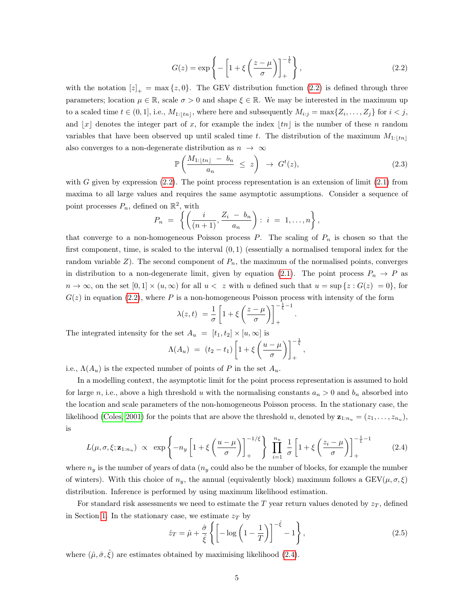<span id="page-4-0"></span>
$$
G(z) = \exp\left\{-\left[1 + \xi \left(\frac{z-\mu}{\sigma}\right)\right]_+^{-\frac{1}{\xi}}\right\},\tag{2.2}
$$

with the notation  $[z]_+ = \max\{z, 0\}$ . The GEV distribution function [\(2.2\)](#page-4-0) is defined through three parameters; location  $\mu \in \mathbb{R}$ , scale  $\sigma > 0$  and shape  $\xi \in \mathbb{R}$ . We may be interested in the maximum up to a scaled time  $t \in (0,1]$ , i.e.,  $M_{1:\lfloor tn \rfloor}$ , where here and subsequently  $M_{i:j} = \max\{Z_i, \ldots, Z_j\}$  for  $i < j$ , and |x| denotes the integer part of x, for example the index |tn| is the number of these n random variables that have been observed up until scaled time t. The distribution of the maximum  $M_{1:\{tn\}}$ also converges to a non-degenerate distribution as  $n \to \infty$ 

$$
\mathbb{P}\left(\frac{M_{1:\lfloor tn\rfloor}-b_n}{a_n} \leq z\right) \to G^t(z),\tag{2.3}
$$

.

with G given by expression  $(2.2)$ . The point process representation is an extension of limit  $(2.1)$  from maxima to all large values and requires the same asymptotic assumptions. Consider a sequence of point processes  $P_n$ , defined on  $\mathbb{R}^2$ , with

<span id="page-4-1"></span>
$$
P_n = \left\{ \left( \frac{i}{(n+1)}, \frac{Z_i - b_n}{a_n} \right) : i = 1, \ldots, n \right\},\
$$

that converge to a non-homogeneous Poisson process  $P$ . The scaling of  $P_n$  is chosen so that the first component, time, is scaled to the interval  $(0, 1)$  (essentially a normalised temporal index for the random variable  $Z$ ). The second component of  $P_n$ , the maximum of the normalised points, converges in distribution to a non-degenerate limit, given by equation [\(2.1\)](#page-3-1). The point process  $P_n \to P$  as  $n \to \infty$ , on the set  $[0,1] \times (u,\infty)$  for all  $u < z$  with u defined such that  $u = \sup\{z : G(z) = 0\}$ , for  $G(z)$  in equation [\(2.2\)](#page-4-0), where P is a non-homogeneous Poisson process with intensity of the form

$$
\lambda(z,t) = \frac{1}{\sigma} \left[ 1 + \xi \left( \frac{z - \mu}{\sigma} \right) \right]_+^{-\frac{1}{\xi} - 1}
$$

The integrated intensity for the set  $A_u = [t_1, t_2] \times [u, \infty]$  is

$$
\Lambda(A_u) = (t_2 - t_1) \left[ 1 + \xi \left( \frac{u - \mu}{\sigma} \right) \right]_+^{-\frac{1}{\xi}},
$$

i.e.,  $\Lambda(A_u)$  is the expected number of points of P in the set  $A_u$ .

In a modelling context, the asymptotic limit for the point process representation is assumed to hold for large n, i.e., above a high threshold u with the normalising constants  $a_n > 0$  and  $b_n$  absorbed into the location and scale parameters of the non-homogeneous Poisson process. In the stationary case, the likelihood [\(Coles, 2001\)](#page-18-5) for the points that are above the threshold u, denoted by  $z_{1:n_u} = (z_1, \ldots, z_{n_u})$ , is

$$
L(\mu, \sigma, \xi; \mathbf{z}_{1:n_u}) \propto \exp\left\{-n_y \left[1 + \xi \left(\frac{u-\mu}{\sigma}\right)\right]_+^{-1/\xi}\right\} \prod_{i=1}^{n_u} \frac{1}{\sigma} \left[1 + \xi \left(\frac{z_i-\mu}{\sigma}\right)\right]_+^{-\frac{1}{\xi}-1} \tag{2.4}
$$

where  $n_y$  is the number of years of data ( $n_y$  could also be the number of blocks, for example the number of winters). With this choice of  $n_y$ , the annual (equivalently block) maximum follows a GEV( $\mu, \sigma, \xi$ ) distribution. Inference is performed by using maximum likelihood estimation.

For standard risk assessments we need to estimate the T year return values denoted by  $z_T$ , defined in Section [1.](#page-0-0) In the stationary case, we estimate  $z_T$  by

$$
\hat{z}_T = \hat{\mu} + \frac{\hat{\sigma}}{\hat{\xi}} \left\{ \left[ -\log\left(1 - \frac{1}{T}\right) \right]^{-\hat{\xi}} - 1 \right\},\tag{2.5}
$$

where  $(\hat{\mu}, \hat{\sigma}, \hat{\xi})$  are estimates obtained by maximising likelihood [\(2.4\)](#page-4-1).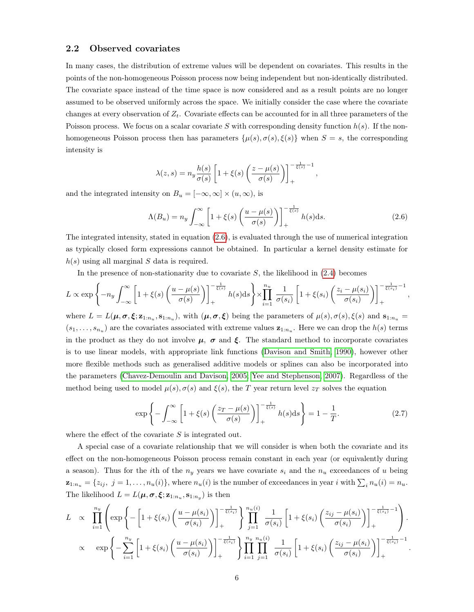## <span id="page-5-1"></span>2.2 Observed covariates

In many cases, the distribution of extreme values will be dependent on covariates. This results in the points of the non-homogeneous Poisson process now being independent but non-identically distributed. The covariate space instead of the time space is now considered and as a result points are no longer assumed to be observed uniformly across the space. We initially consider the case where the covariate changes at every observation of  $Z_t$ . Covariate effects can be accounted for in all three parameters of the Poisson process. We focus on a scalar covariate S with corresponding density function  $h(s)$ . If the nonhomogeneous Poisson process then has parameters  $\{\mu(s), \sigma(s), \xi(s)\}\$  when  $S = s$ , the corresponding intensity is

<span id="page-5-0"></span>
$$
\lambda(z,s) = n_y \frac{h(s)}{\sigma(s)} \left[ 1 + \xi(s) \left( \frac{z - \mu(s)}{\sigma(s)} \right) \right]_+^{-\frac{1}{\xi(s)} - 1},
$$

and the integrated intensity on  $B_u = [-\infty, \infty] \times (u, \infty)$ , is

$$
\Lambda(B_u) = n_y \int_{-\infty}^{\infty} \left[ 1 + \xi(s) \left( \frac{u - \mu(s)}{\sigma(s)} \right) \right]_+^{-\frac{1}{\xi(s)}} h(s) \, \mathrm{d}s. \tag{2.6}
$$

The integrated intensity, stated in equation [\(2.6\)](#page-5-0), is evaluated through the use of numerical integration as typically closed form expressions cannot be obtained. In particular a kernel density estimate for  $h(s)$  using all marginal S data is required.

In the presence of non-stationarity due to covariate  $S$ , the likelihood in  $(2.4)$  becomes

$$
L \propto \exp\left\{-n_y \int_{-\infty}^{\infty} \left[1+\xi(s)\left(\frac{u-\mu(s)}{\sigma(s)}\right)\right]_{+}^{-\frac{1}{\xi(s)}} h(s)ds\right\} \times \prod_{i=1}^{n_u} \frac{1}{\sigma(s_i)} \left[1+\xi(s_i)\left(\frac{z_i-\mu(s_i)}{\sigma(s_i)}\right)\right]_{+}^{-\frac{1}{\xi(s_i)}-1},
$$

where  $L = L(\mu, \sigma, \xi; \mathbf{z}_{1:n_u}, \mathbf{s}_{1:n_u})$ , with  $(\mu, \sigma, \xi)$  being the parameters of  $\mu(s), \sigma(s), \xi(s)$  and  $\mathbf{s}_{1:n_u} =$  $(s_1, \ldots, s_{n_u})$  are the covariates associated with extreme values  $z_{1:n_u}$ . Here we can drop the  $h(s)$  terms in the product as they do not involve  $\mu$ ,  $\sigma$  and  $\xi$ . The standard method to incorporate covariates is to use linear models, with appropriate link functions [\(Davison and Smith, 1990\)](#page-19-3), however other more flexible methods such as generalised additive models or splines can also be incorporated into the parameters [\(Chavez-Demoulin and Davison, 2005;](#page-18-6) [Yee and Stephenson, 2007\)](#page-20-5). Regardless of the method being used to model  $\mu(s)$ ,  $\sigma(s)$  and  $\xi(s)$ , the T year return level  $z_T$  solves the equation

$$
\exp\left\{-\int_{-\infty}^{\infty}\left[1+\xi(s)\left(\frac{z_T-\mu(s)}{\sigma(s)}\right)\right]_{+}^{-\frac{1}{\xi(s)}}h(s)\mathrm{d}s\right\}=1-\frac{1}{T}.\tag{2.7}
$$

where the effect of the covariate  $S$  is integrated out.

A special case of a covariate relationship that we will consider is when both the covariate and its effect on the non-homogeneous Poisson process remain constant in each year (or equivalently during a season). Thus for the *i*th of the  $n_y$  years we have covariate  $s_i$  and the  $n_u$  exceedances of u being  $\mathbf{z}_{1:n_u} = \{z_{ij}, j = 1, \ldots, n_u(i)\},\$  where  $n_u(i)$  is the number of exceedances in year i with  $\sum_i n_u(i) = n_u.$ The likelihood  $L = L(\mu, \sigma, \xi; \mathbf{z}_{1:n_u}, \mathbf{s}_{1:n_y})$  is then

<span id="page-5-2"></span>
$$
L \propto \prod_{i=1}^{n_y} \left( \exp \left\{ -\left[ 1 + \xi(s_i) \left( \frac{u - \mu(s_i)}{\sigma(s_i)} \right) \right]_+^{-\frac{1}{\xi(s_i)}} \right\} \prod_{j=1}^{n_u(i)} \frac{1}{\sigma(s_i)} \left[ 1 + \xi(s_i) \left( \frac{z_{ij} - \mu(s_i)}{\sigma(s_i)} \right) \right]_+^{-\frac{1}{\xi(s_i)} - 1} \right).
$$
  

$$
\propto \exp \left\{ -\sum_{i=1}^{n_y} \left[ 1 + \xi(s_i) \left( \frac{u - \mu(s_i)}{\sigma(s_i)} \right) \right]_+^{-\frac{1}{\xi(s_i)}} \right\} \prod_{i=1}^{n_y} \prod_{j=1}^{n_u(i)} \frac{1}{\sigma(s_i)} \left[ 1 + \xi(s_i) \left( \frac{z_{ij} - \mu(s_i)}{\sigma(s_i)} \right) \right]_+^{-\frac{1}{\xi(s_i)} - 1}.
$$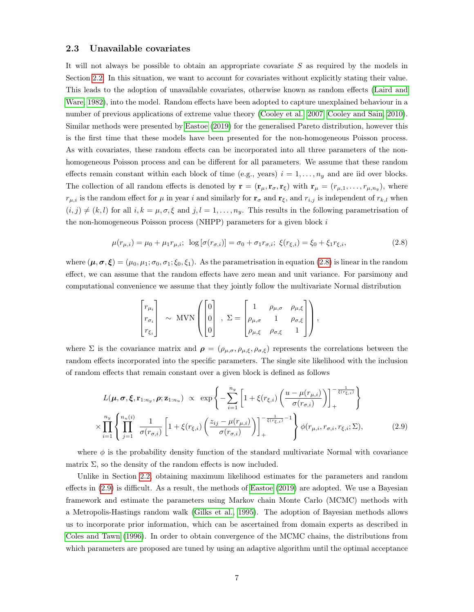## <span id="page-6-1"></span>2.3 Unavailable covariates

It will not always be possible to obtain an appropriate covariate  $S$  as required by the models in Section [2.2.](#page-5-1) In this situation, we want to account for covariates without explicitly stating their value. This leads to the adoption of unavailable covariates, otherwise known as random effects [\(Laird and](#page-19-9) [Ware, 1982\)](#page-19-9), into the model. Random effects have been adopted to capture unexplained behaviour in a number of previous applications of extreme value theory [\(Cooley et al., 2007;](#page-19-10) [Cooley and Sain, 2010\)](#page-19-11). Similar methods were presented by [Eastoe](#page-19-8) [\(2019\)](#page-19-8) for the generalised Pareto distribution, however this is the first time that these models have been presented for the non-homogeneous Poisson process. As with covariates, these random effects can be incorporated into all three parameters of the nonhomogeneous Poisson process and can be different for all parameters. We assume that these random effects remain constant within each block of time (e.g., years)  $i = 1, \ldots, n_y$  and are iid over blocks. The collection of all random effects is denoted by  $\mathbf{r} = (\mathbf{r}_{\mu}, \mathbf{r}_{\sigma}, \mathbf{r}_{\xi})$  with  $\mathbf{r}_{\mu} = (r_{\mu,1}, \dots, r_{\mu,n_y})$ , where  $r_{\mu,i}$  is the random effect for  $\mu$  in year i and similarly for  $\mathbf{r}_{\sigma}$  and  $\mathbf{r}_{\xi}$ , and  $r_{i,j}$  is independent of  $r_{k,l}$  when  $(i, j) \neq (k, l)$  for all  $i, k = \mu, \sigma, \xi$  and  $j, l = 1, \ldots, n_y$ . This results in the following parametrisation of the non-homogeneous Poisson process (NHPP) parameters for a given block  $i$ 

$$
\mu(r_{\mu,i}) = \mu_0 + \mu_1 r_{\mu,i}; \ \log\left[\sigma(r_{\sigma,i})\right] = \sigma_0 + \sigma_1 r_{\sigma,i}; \ \xi(r_{\xi,i}) = \xi_0 + \xi_1 r_{\xi,i}, \tag{2.8}
$$

where  $(\mu, \sigma, \xi) = (\mu_0, \mu_1; \sigma_0, \sigma_1; \xi_0, \xi_1)$ . As the parametrisation in equation [\(2.8\)](#page-5-2) is linear in the random effect, we can assume that the random effects have zero mean and unit variance. For parsimony and computational convenience we assume that they jointly follow the multivariate Normal distribution

<span id="page-6-0"></span>
$$
\begin{bmatrix} r_{\mu_i} \\ r_{\sigma_i} \\ r_{\xi_i} \end{bmatrix} \sim \text{MVN} \left( \begin{bmatrix} 0 \\ 0 \\ 0 \end{bmatrix} , \Sigma = \begin{bmatrix} 1 & \rho_{\mu,\sigma} & \rho_{\mu,\xi} \\ \rho_{\mu,\sigma} & 1 & \rho_{\sigma,\xi} \\ \rho_{\mu,\xi} & \rho_{\sigma,\xi} & 1 \end{bmatrix} \right),
$$

where  $\Sigma$  is the covariance matrix and  $\rho = (\rho_{\mu,\sigma}, \rho_{\mu,\xi}, \rho_{\sigma,\xi})$  represents the correlations between the random effects incorporated into the specific parameters. The single site likelihood with the inclusion of random effects that remain constant over a given block is defined as follows

$$
L(\boldsymbol{\mu}, \boldsymbol{\sigma}, \boldsymbol{\xi}, \mathbf{r}_{1:n_y}, \boldsymbol{\rho}; \mathbf{z}_{1:n_u}) \propto \exp\left\{-\sum_{i=1}^{n_y} \left[1 + \xi(r_{\xi,i}) \left(\frac{u - \mu(r_{\mu,i})}{\sigma(r_{\sigma,i})}\right)\right]_+^{-\frac{1}{\xi(r_{\xi,i})}}\right\}
$$

$$
\times \prod_{i=1}^{n_y} \left\{\prod_{j=1}^{n_u(i)} \frac{1}{\sigma(r_{\sigma,i})} \left[1 + \xi(r_{\xi,i}) \left(\frac{z_{ij} - \mu(r_{\mu,i})}{\sigma(r_{\sigma,i})}\right)\right]_+^{-\frac{1}{\xi(r_{\xi,i})}-1}\right\} \phi(r_{\mu,i}, r_{\sigma,i}, r_{\xi,i}; \Sigma), \tag{2.9}
$$

where  $\phi$  is the probability density function of the standard multivariate Normal with covariance matrix  $\Sigma$ , so the density of the random effects is now included.

Unlike in Section [2.2,](#page-5-1) obtaining maximum likelihood estimates for the parameters and random effects in [\(2.9\)](#page-6-0) is difficult. As a result, the methods of [Eastoe](#page-19-8) [\(2019\)](#page-19-8) are adopted. We use a Bayesian framework and estimate the parameters using Markov chain Monte Carlo (MCMC) methods with a Metropolis-Hastings random walk [\(Gilks et al., 1995\)](#page-19-12). The adoption of Bayesian methods allows us to incorporate prior information, which can be ascertained from domain experts as described in [Coles and Tawn](#page-18-7) [\(1996\)](#page-18-7). In order to obtain convergence of the MCMC chains, the distributions from which parameters are proposed are tuned by using an adaptive algorithm until the optimal acceptance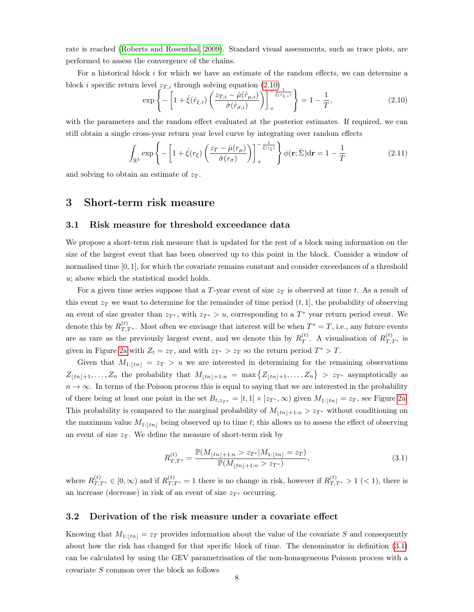rate is reached [\(Roberts and Rosenthal, 2009\)](#page-20-6). Standard visual assessments, such as trace plots, are performed to assess the convergence of the chains.

For a historical block i for which we have an estimate of the random effects, we can determine a block *i* specific return level  $z_{T,i}$  through solving equation [\(2.10\)](#page-7-1)

<span id="page-7-1"></span>
$$
\exp\left\{-\left[1+\hat{\xi}(\hat{r}_{\xi,i})\left(\frac{z_{T,i}-\hat{\mu}(\hat{r}_{\mu,i})}{\hat{\sigma}(\hat{r}_{\sigma,i})}\right)\right]_{+}^{-\frac{'}{\hat{\xi}(\hat{r}_{\xi,i})}}\right\} = 1 - \frac{1}{T},\tag{2.10}
$$

with the parameters and the random effect evaluated at the posterior estimates. If required, we can still obtain a single cross-year return year level curve by integrating over random effects

$$
\int_{\mathbb{R}^3} \exp\left\{-\left[1+\hat{\xi}(r_{\xi})\left(\frac{z_T-\hat{\mu}(r_{\mu})}{\hat{\sigma}(r_{\sigma})}\right)\right]_+^{-\frac{1}{\hat{\xi}(r_{\xi})}}\right\}\phi(\mathbf{r};\hat{\Sigma})d\mathbf{r}=1-\frac{1}{T}
$$
\n(2.11)

and solving to obtain an estimate of  $z_T$ .

## <span id="page-7-0"></span>3 Short-term risk measure

#### <span id="page-7-4"></span>3.1 Risk measure for threshold exceedance data

We propose a short-term risk measure that is updated for the rest of a block using information on the size of the largest event that has been observed up to this point in the block. Consider a window of normalised time [0, 1], for which the covariate remains constant and consider exceedances of a threshold u; above which the statistical model holds.

For a given time series suppose that a T-year event of size  $z_T$  is observed at time t. As a result of this event  $z_T$  we want to determine for the remainder of time period  $(t, 1]$ , the probability of observing an event of size greater than  $z_{T^*}$ , with  $z_{T^*} > u$ , corresponding to a  $T^*$  year return period event. We denote this by  $R_{T,T^*}^{(t)}$ . Most often we envisage that interest will be when  $T^* = T$ , i.e., any future events are as rare as the previously largest event, and we denote this by  $R_T^{(t)}$  $T(T)$ . A visualisation of  $R_{T,T^*}^{(t)}$  is given in Figure [2a](#page-8-0) with  $Z_t = z_T$ , and with  $z_{T^*} > z_T$  so the return period  $T^* > T$ .

Given that  $M_{1:[tn]} = z_T > u$  we are interested in determining for the remaining observations  $Z_{\lfloor tn\rfloor+1}, \ldots, Z_n$  the probability that  $M_{\lfloor tn\rfloor+1:n} = \max\{Z_{\lfloor tn\rfloor+1}, \ldots, Z_n\} > z_{T^*}$  asymptotically as  $n \to \infty$ . In terms of the Poisson process this is equal to saying that we are interested in the probability of there being at least one point in the set  $B_{t,z_T*} = [t,1] \times [z_{T*}, \infty)$  given  $M_{1:|tn|} = z_T$ , see Figure [2a.](#page-8-0) This probability is compared to the marginal probability of  $M_{\lfloor tn\rfloor+1:n} > z_{T^*}$  without conditioning on the maximum value  $M_{1:[tn]}$  being observed up to time t; this allows us to assess the effect of observing an event of size  $z_T$ . We define the measure of short-term risk by

<span id="page-7-2"></span>
$$
R_{T,T^*}^{(t)} = \frac{\mathbb{P}(M_{\lfloor tn\rfloor+1:n} > z_{T^*}|M_{1:\lfloor tn\rfloor} = z_T)}{\mathbb{P}(M_{\lfloor tn\rfloor+1:n} > z_{T^*})},\tag{3.1}
$$

where  $R_{T,T^*}^{(t)} \in [0,\infty)$  and if  $R_{T,T^*}^{(t)} = 1$  there is no change in risk, however if  $R_{T,T^*}^{(t)} > 1$  (< 1), there is an increase (decrease) in risk of an event of size  $z_{T^*}$  occurring.

#### <span id="page-7-3"></span>3.2 Derivation of the risk measure under a covariate effect

Knowing that  $M_{1:[tn]} = z_T$  provides information about the value of the covariate S and consequently about how the risk has changed for that specific block of time. The denominator in definition [\(3.1\)](#page-7-2) can be calculated by using the GEV parametrisation of the non-homogeneous Poisson process with a covariate S common over the block as follows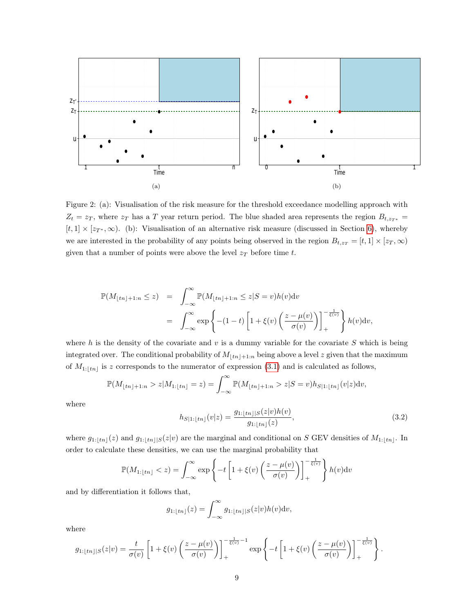<span id="page-8-0"></span>![](_page_8_Figure_0.jpeg)

<span id="page-8-1"></span>Figure 2: (a): Visualisation of the risk measure for the threshold exceedance modelling approach with  $Z_t = z_T$ , where  $z_T$  has a T year return period. The blue shaded area represents the region  $B_{t,z_T *}$  =  $[t, 1] \times [z_{T^*}, \infty)$ . (b): Visualisation of an alternative risk measure (discussed in Section [6\)](#page-17-0), whereby we are interested in the probability of any points being observed in the region  $B_{t,z_T} = [t,1] \times [z_T,\infty)$ given that a number of points were above the level  $z_T$  before time t.

$$
\begin{array}{lcl} \mathbb{P}(M_{\lfloor tn\rfloor+1:n}\leq z) & = & \displaystyle \int_{-\infty}^{\infty}\mathbb{P}(M_{\lfloor tn\rfloor+1:n}\leq z|S=v)h(v)\mathrm{d}v \\ \\ & = & \displaystyle \int_{-\infty}^{\infty}\exp\left\{-(1-t)\left[1+\xi(v)\left(\frac{z-\mu(v)}{\sigma(v)}\right)\right]_{+}^{-\frac{1}{\xi(v)}}\right\}h(v)\mathrm{d}v, \end{array}
$$

where h is the density of the covariate and  $v$  is a dummy variable for the covariate S which is being integrated over. The conditional probability of  $M_{\lfloor tn\rfloor+1:n}$  being above a level z given that the maximum of  $M_{1:|tn|}$  is z corresponds to the numerator of expression [\(3.1\)](#page-7-2) and is calculated as follows,

$$
\mathbb{P}(M_{\lfloor tn\rfloor+1:n}>z|M_{1:\lfloor tn\rfloor}=z)=\int_{-\infty}^{\infty}\mathbb{P}(M_{\lfloor tn\rfloor+1:n}>z|S=v)h_{S|1:\lfloor tn\rfloor}(v|z)\mathrm{d}v,
$$

where

$$
h_{S|1:\lfloor tn\rfloor}(v|z) = \frac{g_{1:\lfloor tn\rfloor|S}(z|v)h(v)}{g_{1:\lfloor tn\rfloor}(z)},\tag{3.2}
$$

where  $g_{1:\lfloor tn\rfloor}(z)$  and  $g_{1:\lfloor tn\rfloor}(z|v)$  are the marginal and conditional on S GEV densities of  $M_{1:\lfloor tn\rfloor}$ . In order to calculate these densities, we can use the marginal probability that

$$
\mathbb{P}(M_{1:\lfloor tn\rfloor} < z) = \int_{-\infty}^{\infty} \exp\left\{-t\left[1 + \xi(v)\left(\frac{z - \mu(v)}{\sigma(v)}\right)\right]_{+}^{-\frac{1}{\xi(v)}}\right\} h(v) \mathrm{d}v
$$

and by differentiation it follows that,

$$
g_{1:\lfloor tn\rfloor}(z)=\int_{-\infty}^{\infty}g_{1:\lfloor tn\rfloor|S}(z|v)h(v)\mathrm{d}v,
$$

where

$$
g_{1:\lfloor tn\rfloor\rfloor S}(z|v) = \frac{t}{\sigma(v)} \left[1 + \xi(v) \left(\frac{z - \mu(v)}{\sigma(v)}\right)\right]_+^{-\frac{1}{\xi(v)} - 1} \exp\left\{-t \left[1 + \xi(v) \left(\frac{z - \mu(v)}{\sigma(v)}\right)\right]_+^{-\frac{1}{\xi(v)}}\right\}.
$$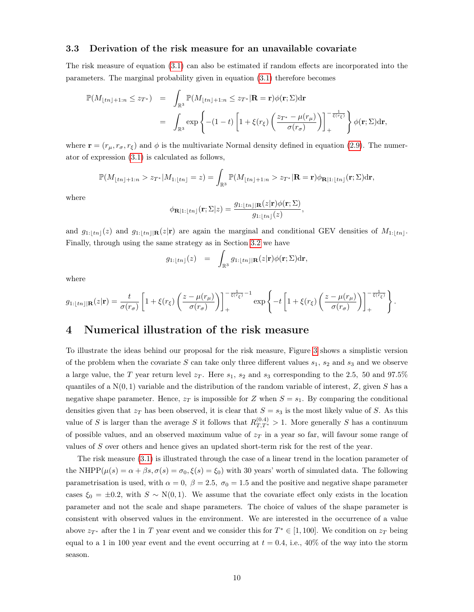#### <span id="page-9-1"></span>3.3 Derivation of the risk measure for an unavailable covariate

The risk measure of equation [\(3.1\)](#page-7-2) can also be estimated if random effects are incorporated into the parameters. The marginal probability given in equation [\(3.1\)](#page-7-2) therefore becomes

$$
\mathbb{P}(M_{\lfloor tn\rfloor+1:n} \leq z_{T^*}) = \int_{\mathbb{R}^3} \mathbb{P}(M_{\lfloor tn\rfloor+1:n} \leq z_{T^*} | \mathbf{R} = \mathbf{r}) \phi(\mathbf{r}; \Sigma) d\mathbf{r}
$$
  
= 
$$
\int_{\mathbb{R}^3} \exp \left\{ -(1-t) \left[ 1 + \xi(r_{\xi}) \left( \frac{z_{T^*} - \mu(r_{\mu})}{\sigma(r_{\sigma})} \right) \right]_+^{-\frac{1}{\xi(r_{\xi})}} \right\} \phi(\mathbf{r}; \Sigma) d\mathbf{r},
$$

where  $\mathbf{r} = (r_{\mu}, r_{\sigma}, r_{\xi})$  and  $\phi$  is the multivariate Normal density defined in equation [\(2.9\)](#page-6-0). The numerator of expression [\(3.1\)](#page-7-2) is calculated as follows,

$$
\mathbb{P}(M_{\lfloor tn\rfloor+1:n}>z_{T^*}|M_{1:\lfloor tn\rfloor}=z)=\int_{\mathbb{R}^3}\mathbb{P}(M_{\lfloor tn\rfloor+1:n}>z_{T^*}|\mathbf{R}=\mathbf{r})\phi_{\mathbf{R}\lfloor n:\lfloor tn\rfloor}(\mathbf{r};\Sigma)\mathrm{d}\mathbf{r},
$$

where

$$
\phi_{\mathbf{R}|1:\lfloor tn\rfloor}(\mathbf{r};\Sigma|z) = \frac{g_{1:\lfloor tn\rfloor|\mathbf{R}}(z|\mathbf{r})\phi(\mathbf{r};\Sigma)}{g_{1:\lfloor tn\rfloor}(z)},
$$

and  $g_{1:|tn|}(z)$  and  $g_{1:|tn|}(\mathbf{R}(z|\mathbf{r}))$  are again the marginal and conditional GEV densities of  $M_{1:|tn|}$ . Finally, through using the same strategy as in Section [3.2](#page-7-3) we have

$$
g_{1:\lfloor tn\rfloor}(z)\quad =\quad \int_{\mathbb{R}^3}g_{1:\lfloor tn\rfloor|\mathbf{R}}(z|\mathbf{r})\phi(\mathbf{r};\Sigma)\mathrm{d}\mathbf{r},
$$

.

where

$$
g_{1:\lfloor tn\rfloor |\mathbf{R}}(z|\mathbf{r}) = \frac{t}{\sigma(r_{\sigma})} \left[ 1 + \xi(r_{\xi}) \left( \frac{z - \mu(r_{\mu})}{\sigma(r_{\sigma})} \right) \right]_{+}^{-\frac{1}{\xi(r_{\xi})}-1} \exp \left\{ -t \left[ 1 + \xi(r_{\xi}) \left( \frac{z - \mu(r_{\mu})}{\sigma(r_{\sigma})} \right) \right]_{+}^{-\frac{1}{\xi(r_{\xi})}} \right\}
$$

# <span id="page-9-0"></span>4 Numerical illustration of the risk measure

To illustrate the ideas behind our proposal for the risk measure, Figure [3](#page-10-0) shows a simplistic version of the problem when the covariate S can take only three different values  $s_1$ ,  $s_2$  and  $s_3$  and we observe a large value, the T year return level  $z_T$ . Here  $s_1$ ,  $s_2$  and  $s_3$  corresponding to the 2.5, 50 and 97.5% quantiles of a  $N(0, 1)$  variable and the distribution of the random variable of interest, Z, given S has a negative shape parameter. Hence,  $z_T$  is impossible for Z when  $S = s_1$ . By comparing the conditional densities given that  $z_T$  has been observed, it is clear that  $S = s_3$  is the most likely value of S. As this value of S is larger than the average S it follows that  $R_{T,T^*}^{(0,4)} > 1$ . More generally S has a continuum of possible values, and an observed maximum value of  $z_T$  in a year so far, will favour some range of values of S over others and hence gives an updated short-term risk for the rest of the year.

The risk measure [\(3.1\)](#page-7-2) is illustrated through the case of a linear trend in the location parameter of the NHPP( $\mu(s) = \alpha + \beta s$ ,  $\sigma(s) = \sigma_0$ ,  $\xi(s) = \xi_0$ ) with 30 years' worth of simulated data. The following parametrisation is used, with  $\alpha = 0$ ,  $\beta = 2.5$ ,  $\sigma_0 = 1.5$  and the positive and negative shape parameter cases  $\xi_0 = \pm 0.2$ , with  $S \sim N(0, 1)$ . We assume that the covariate effect only exists in the location parameter and not the scale and shape parameters. The choice of values of the shape parameter is consistent with observed values in the environment. We are interested in the occurrence of a value above  $z_{T^*}$  after the 1 in T year event and we consider this for  $T^* \in [1, 100]$ . We condition on  $z_T$  being equal to a 1 in 100 year event and the event occurring at  $t = 0.4$ , i.e., 40% of the way into the storm season.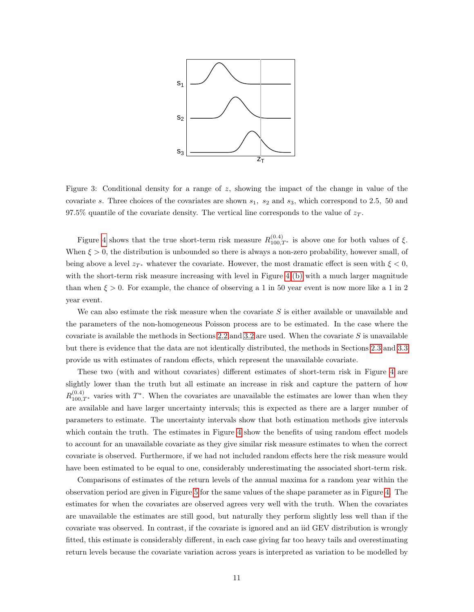<span id="page-10-0"></span>![](_page_10_Figure_0.jpeg)

Figure 3: Conditional density for a range of  $z$ , showing the impact of the change in value of the covariate s. Three choices of the covariates are shown  $s_1$ ,  $s_2$  and  $s_3$ , which correspond to 2.5, 50 and 97.5% quantile of the covariate density. The vertical line corresponds to the value of  $z_T$ .

Figure [4](#page-11-1) shows that the true short-term risk measure  $R_{100,T^*}^{(0,4)}$  is above one for both values of  $\xi$ . When  $\xi > 0$ , the distribution is unbounded so there is always a non-zero probability, however small, of being above a level  $z_{T^*}$  whatever the covariate. However, the most dramatic effect is seen with  $\xi < 0$ , with the short-term risk measure increasing with level in Figure [4](#page-11-1) [\(b\)](#page-12-0) with a much larger magnitude than when  $\xi > 0$ . For example, the chance of observing a 1 in 50 year event is now more like a 1 in 2 year event.

We can also estimate the risk measure when the covariate  $S$  is either available or unavailable and the parameters of the non-homogeneous Poisson process are to be estimated. In the case where the covariate is available the methods in Sections [2.2](#page-5-1) and [3.2](#page-7-3) are used. When the covariate  $S$  is unavailable but there is evidence that the data are not identically distributed, the methods in Sections [2.3](#page-6-1) and [3.3](#page-9-1) provide us with estimates of random effects, which represent the unavailable covariate.

These two (with and without covariates) different estimates of short-term risk in Figure [4](#page-11-1) are slightly lower than the truth but all estimate an increase in risk and capture the pattern of how  $R_{100,T^*}^{(0.4)}$  varies with  $T^*$ . When the covariates are unavailable the estimates are lower than when they are available and have larger uncertainty intervals; this is expected as there are a larger number of parameters to estimate. The uncertainty intervals show that both estimation methods give intervals which contain the truth. The estimates in Figure [4](#page-11-1) show the benefits of using random effect models to account for an unavailable covariate as they give similar risk measure estimates to when the correct covariate is observed. Furthermore, if we had not included random effects here the risk measure would have been estimated to be equal to one, considerably underestimating the associated short-term risk.

Comparisons of estimates of the return levels of the annual maxima for a random year within the observation period are given in Figure [5](#page-12-1) for the same values of the shape parameter as in Figure [4.](#page-11-1) The estimates for when the covariates are observed agrees very well with the truth. When the covariates are unavailable the estimates are still good, but naturally they perform slightly less well than if the covariate was observed. In contrast, if the covariate is ignored and an iid GEV distribution is wrongly fitted, this estimate is considerably different, in each case giving far too heavy tails and overestimating return levels because the covariate variation across years is interpreted as variation to be modelled by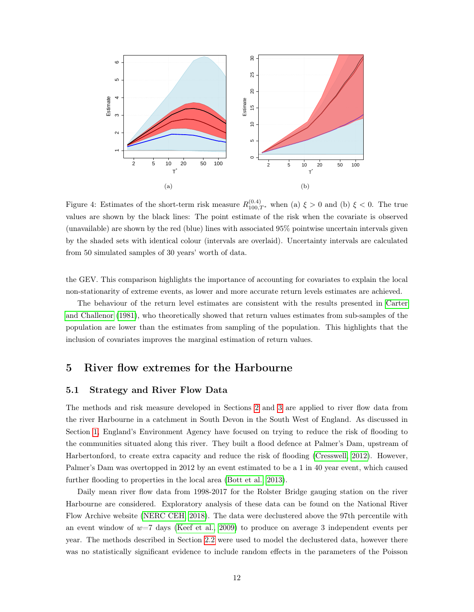<span id="page-11-1"></span>![](_page_11_Figure_0.jpeg)

Figure 4: Estimates of the short-term risk measure  $R_{100,T^*}^{(0.4)}$  when (a)  $\xi > 0$  and (b)  $\xi < 0$ . The true values are shown by the black lines: The point estimate of the risk when the covariate is observed (unavailable) are shown by the red (blue) lines with associated 95% pointwise uncertain intervals given by the shaded sets with identical colour (intervals are overlaid). Uncertainty intervals are calculated from 50 simulated samples of 30 years' worth of data.

the GEV. This comparison highlights the importance of accounting for covariates to explain the local non-stationarity of extreme events, as lower and more accurate return levels estimates are achieved.

The behaviour of the return level estimates are consistent with the results presented in [Carter](#page-18-8) [and Challenor](#page-18-8) [\(1981\)](#page-18-8), who theoretically showed that return values estimates from sub-samples of the population are lower than the estimates from sampling of the population. This highlights that the inclusion of covariates improves the marginal estimation of return values.

# <span id="page-11-0"></span>5 River flow extremes for the Harbourne

## <span id="page-11-2"></span>5.1 Strategy and River Flow Data

The methods and risk measure developed in Sections [2](#page-3-0) and [3](#page-7-0) are applied to river flow data from the river Harbourne in a catchment in South Devon in the South West of England. As discussed in Section [1,](#page-0-0) England's Environment Agency have focused on trying to reduce the risk of flooding to the communities situated along this river. They built a flood defence at Palmer's Dam, upstream of Harbertonford, to create extra capacity and reduce the risk of flooding [\(Cresswell, 2012\)](#page-19-0). However, Palmer's Dam was overtopped in 2012 by an event estimated to be a 1 in 40 year event, which caused further flooding to properties in the local area [\(Bott et al., 2013\)](#page-18-9).

Daily mean river flow data from 1998-2017 for the Rolster Bridge gauging station on the river Harbourne are considered. Exploratory analysis of these data can be found on the National River Flow Archive website [\(NERC CEH, 2018\)](#page-19-13). The data were declustered above the 97th percentile with an event window of  $w=7$  days [\(Keef et al., 2009\)](#page-19-14) to produce on average 3 independent events per year. The methods described in Section [2.2](#page-5-1) were used to model the declustered data, however there was no statistically significant evidence to include random effects in the parameters of the Poisson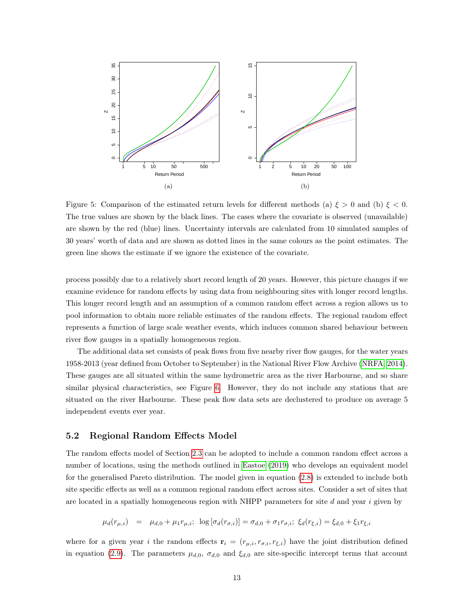<span id="page-12-1"></span>![](_page_12_Figure_0.jpeg)

<span id="page-12-0"></span>Figure 5: Comparison of the estimated return levels for different methods (a)  $\xi > 0$  and (b)  $\xi < 0$ . The true values are shown by the black lines. The cases where the covariate is observed (unavailable) are shown by the red (blue) lines. Uncertainty intervals are calculated from 10 simulated samples of 30 years' worth of data and are shown as dotted lines in the same colours as the point estimates. The green line shows the estimate if we ignore the existence of the covariate.

process possibly due to a relatively short record length of 20 years. However, this picture changes if we examine evidence for random effects by using data from neighbouring sites with longer record lengths. This longer record length and an assumption of a common random effect across a region allows us to pool information to obtain more reliable estimates of the random effects. The regional random effect represents a function of large scale weather events, which induces common shared behaviour between river flow gauges in a spatially homogeneous region.

The additional data set consists of peak flows from five nearby river flow gauges, for the water years 1958-2013 (year defined from October to September) in the National River Flow Archive [\(NRFA, 2014\)](#page-20-7). These gauges are all situated within the same hydrometric area as the river Harbourne, and so share similar physical characteristics, see Figure [6.](#page-13-0) However, they do not include any stations that are situated on the river Harbourne. These peak flow data sets are declustered to produce on average 5 independent events ever year.

## <span id="page-12-2"></span>5.2 Regional Random Effects Model

The random effects model of Section [2.3](#page-6-1) can be adopted to include a common random effect across a number of locations, using the methods outlined in [Eastoe](#page-19-8) [\(2019\)](#page-19-8) who develops an equivalent model for the generalised Pareto distribution. The model given in equation [\(2.8\)](#page-5-2) is extended to include both site specific effects as well as a common regional random effect across sites. Consider a set of sites that are located in a spatially homogeneous region with NHPP parameters for site  $d$  and year  $i$  given by

$$
\mu_d(r_{\mu,i}) = \mu_{d,0} + \mu_1 r_{\mu,i}; \ \log[\sigma_d(r_{\sigma,i})] = \sigma_{d,0} + \sigma_1 r_{\sigma,i}; \ \xi_d(r_{\xi,i}) = \xi_{d,0} + \xi_1 r_{\xi,i}
$$

where for a given year i the random effects  $\mathbf{r}_i = (r_{\mu,i}, r_{\sigma,i}, r_{\xi,i})$  have the joint distribution defined in equation [\(2.9\)](#page-6-0). The parameters  $\mu_{d,0}$ ,  $\sigma_{d,0}$  and  $\xi_{d,0}$  are site-specific intercept terms that account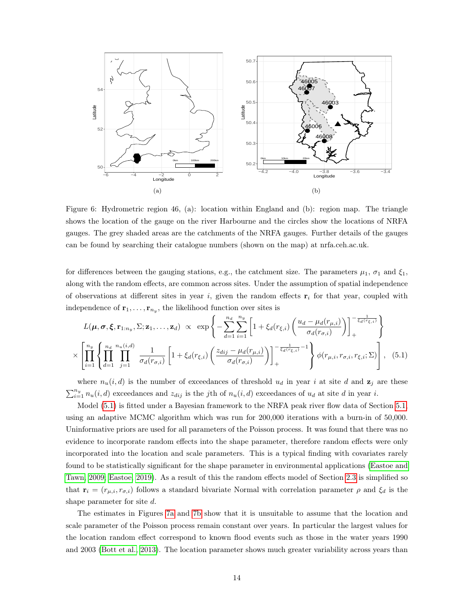<span id="page-13-0"></span>![](_page_13_Figure_0.jpeg)

Figure 6: Hydrometric region 46, (a): location within England and (b): region map. The triangle shows the location of the gauge on the river Harbourne and the circles show the locations of NRFA gauges. The grey shaded areas are the catchments of the NRFA gauges. Further details of the gauges can be found by searching their catalogue numbers (shown on the map) at nrfa.ceh.ac.uk.

for differences between the gauging stations, e.g., the catchment size. The parameters  $\mu_1$ ,  $\sigma_1$  and  $\xi_1$ , along with the random effects, are common across sites. Under the assumption of spatial independence of observations at different sites in year i, given the random effects  $\mathbf{r}_i$  for that year, coupled with independence of  $\mathbf{r}_1, \ldots, \mathbf{r}_{n_y}$ , the likelihood function over sites is

<span id="page-13-1"></span>
$$
L(\boldsymbol{\mu}, \boldsymbol{\sigma}, \boldsymbol{\xi}, \mathbf{r}_{1:n_y}, \Sigma; \mathbf{z}_1, \dots, \mathbf{z}_d) \propto \exp\left\{-\sum_{d=1}^{n_d} \sum_{i=1}^{n_y} \left[1 + \xi_d(r_{\xi,i}) \left(\frac{u_d - \mu_d(r_{\mu,i})}{\sigma_d(r_{\sigma,i})}\right)\right]_+^{-\frac{1}{\xi_d(r_{\xi,i})}}\right\}
$$

$$
\times \left[\prod_{i=1}^{n_y} \left\{\prod_{d=1}^{n_d} \prod_{j=1}^{n_u(i,d)} \frac{1}{\sigma_d(r_{\sigma,i})} \left[1 + \xi_d(r_{\xi,i}) \left(\frac{z_{dij} - \mu_d(r_{\mu,i})}{\sigma_d(r_{\sigma,i})}\right)\right]_+^{-\frac{1}{\xi_d(r_{\xi,i})}-1}\right\} \phi(r_{\mu,i}, r_{\sigma,i}, r_{\xi,i}; \Sigma)\right], \quad (5.1)
$$

where  $n_u(i, d)$  is the number of exceedances of threshold  $u_d$  in year i at site d and  $z_j$  are these  $\sum_{i=1}^{n_y} n_u(i, d)$  exceedances and  $z_{dij}$  is the jth of  $n_u(i, d)$  exceedances of  $u_d$  at site d in year i.

Model  $(5.1)$  is fitted under a Bayesian framework to the NRFA peak river flow data of Section [5.1,](#page-11-2) using an adaptive MCMC algorithm which was run for 200,000 iterations with a burn-in of 50,000. Uninformative priors are used for all parameters of the Poisson process. It was found that there was no evidence to incorporate random effects into the shape parameter, therefore random effects were only incorporated into the location and scale parameters. This is a typical finding with covariates rarely found to be statistically significant for the shape parameter in environmental applications [\(Eastoe and](#page-19-15) [Tawn, 2009;](#page-19-15) [Eastoe, 2019\)](#page-19-8). As a result of this the random effects model of Section [2.3](#page-6-1) is simplified so that  $\mathbf{r}_i = (r_{\mu,i}, r_{\sigma,i})$  follows a standard bivariate Normal with correlation parameter  $\rho$  and  $\xi_d$  is the shape parameter for site d.

The estimates in Figures [7a](#page-14-0) and [7b](#page-14-1) show that it is unsuitable to assume that the location and scale parameter of the Poisson process remain constant over years. In particular the largest values for the location random effect correspond to known flood events such as those in the water years 1990 and 2003 [\(Bott et al., 2013\)](#page-18-9). The location parameter shows much greater variability across years than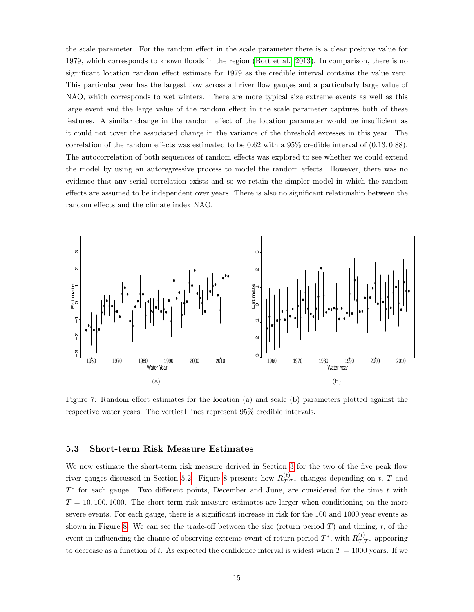the scale parameter. For the random effect in the scale parameter there is a clear positive value for 1979, which corresponds to known floods in the region [\(Bott et al., 2013\)](#page-18-9). In comparison, there is no significant location random effect estimate for 1979 as the credible interval contains the value zero. This particular year has the largest flow across all river flow gauges and a particularly large value of NAO, which corresponds to wet winters. There are more typical size extreme events as well as this large event and the large value of the random effect in the scale parameter captures both of these features. A similar change in the random effect of the location parameter would be insufficient as it could not cover the associated change in the variance of the threshold excesses in this year. The correlation of the random effects was estimated to be 0.62 with a 95% credible interval of (0.13, 0.88). The autocorrelation of both sequences of random effects was explored to see whether we could extend the model by using an autoregressive process to model the random effects. However, there was no evidence that any serial correlation exists and so we retain the simpler model in which the random effects are assumed to be independent over years. There is also no significant relationship between the random effects and the climate index NAO.

<span id="page-14-2"></span><span id="page-14-0"></span>![](_page_14_Figure_1.jpeg)

<span id="page-14-1"></span>Figure 7: Random effect estimates for the location (a) and scale (b) parameters plotted against the respective water years. The vertical lines represent 95% credible intervals.

#### 5.3 Short-term Risk Measure Estimates

We now estimate the short-term risk measure derived in Section [3](#page-7-0) for the two of the five peak flow river gauges discussed in Section [5.2.](#page-12-2) Figure [8](#page-15-0) presents how  $R_{T,T^*}^{(t)}$  changes depending on t, T and  $T^*$  for each gauge. Two different points, December and June, are considered for the time t with  $T = 10, 100, 1000$ . The short-term risk measure estimates are larger when conditioning on the more severe events. For each gauge, there is a significant increase in risk for the 100 and 1000 year events as shown in Figure [8.](#page-15-0) We can see the trade-off between the size (return period  $T$ ) and timing,  $t$ , of the event in influencing the chance of observing extreme event of return period  $T^*$ , with  $R_{T,T^*}^{(t)}$  appearing to decrease as a function of t. As expected the confidence interval is widest when  $T = 1000$  years. If we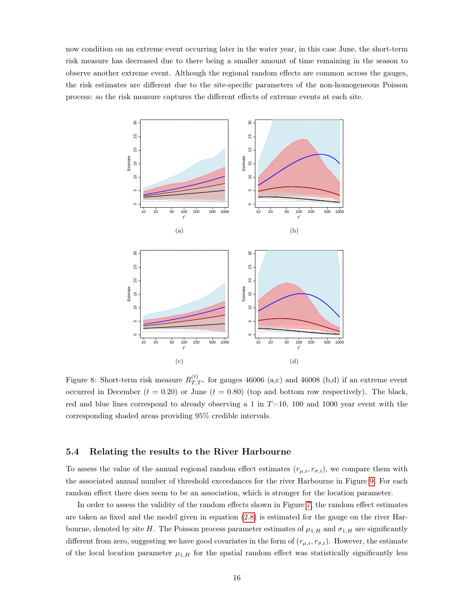now condition on an extreme event occurring later in the water year, in this case June, the short-term risk measure has decreased due to there being a smaller amount of time remaining in the season to observe another extreme event. Although the regional random effects are common across the gauges, the risk estimates are different due to the site-specific parameters of the non-homogeneous Poisson process: so the risk measure captures the different effects of extreme events at each site.

<span id="page-15-0"></span>![](_page_15_Figure_1.jpeg)

Figure 8: Short-term risk measure  $R_{T,T^*}^{(t)}$  for gauges 46006 (a,c) and 46008 (b,d) if an extreme event occurred in December  $(t = 0.20)$  or June  $(t = 0.80)$  (top and bottom row respectively). The black, red and blue lines correspond to already observing a 1 in  $T=10$ , 100 and 1000 year event with the corresponding shaded areas providing 95% credible intervals.

## 5.4 Relating the results to the River Harbourne

To assess the value of the annual regional random effect estimates  $(r_{\mu,i}, r_{\sigma,i})$ , we compare them with the associated annual number of threshold exceedances for the river Harbourne in Figure [9.](#page-16-0) For each random effect there does seem to be an association, which is stronger for the location parameter.

In order to assess the validity of the random effects shown in Figure [7,](#page-14-2) the random effect estimates are taken as fixed and the model given in equation [\(2.8\)](#page-5-2) is estimated for the gauge on the river Harbourne, denoted by site H. The Poisson process parameter estimates of  $\mu_{1,H}$  and  $\sigma_{1,H}$  are significantly different from zero, suggesting we have good covariates in the form of  $(r_{\mu,i}, r_{\sigma,i})$ . However, the estimate of the local location parameter  $\mu_{1,H}$  for the spatial random effect was statistically significantly less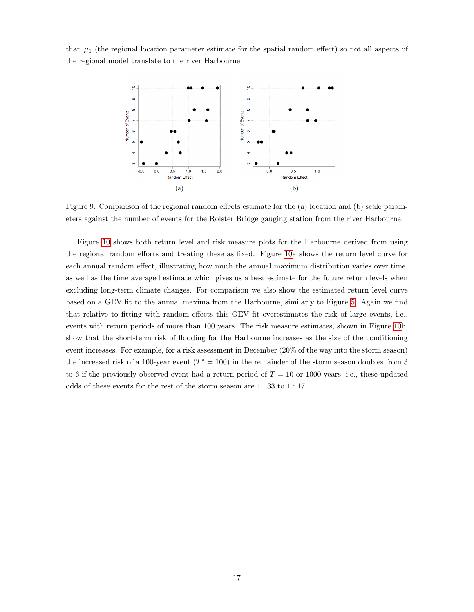<span id="page-16-0"></span>than  $\mu_1$  (the regional location parameter estimate for the spatial random effect) so not all aspects of the regional model translate to the river Harbourne.

![](_page_16_Figure_1.jpeg)

Figure 9: Comparison of the regional random effects estimate for the (a) location and (b) scale parameters against the number of events for the Rolster Bridge gauging station from the river Harbourne.

Figure [10](#page-17-1) shows both return level and risk measure plots for the Harbourne derived from using the regional random efforts and treating these as fixed. Figure [10a](#page-17-1) shows the return level curve for each annual random effect, illustrating how much the annual maximum distribution varies over time, as well as the time averaged estimate which gives us a best estimate for the future return levels when excluding long-term climate changes. For comparison we also show the estimated return level curve based on a GEV fit to the annual maxima from the Harbourne, similarly to Figure [5.](#page-12-1) Again we find that relative to fitting with random effects this GEV fit overestimates the risk of large events, i.e., events with return periods of more than 100 years. The risk measure estimates, shown in Figure [10b](#page-17-1), show that the short-term risk of flooding for the Harbourne increases as the size of the conditioning event increases. For example, for a risk assessment in December (20% of the way into the storm season) the increased risk of a 100-year event  $(T^* = 100)$  in the remainder of the storm season doubles from 3 to 6 if the previously observed event had a return period of  $T = 10$  or 1000 years, i.e., these updated odds of these events for the rest of the storm season are 1 : 33 to 1 : 17.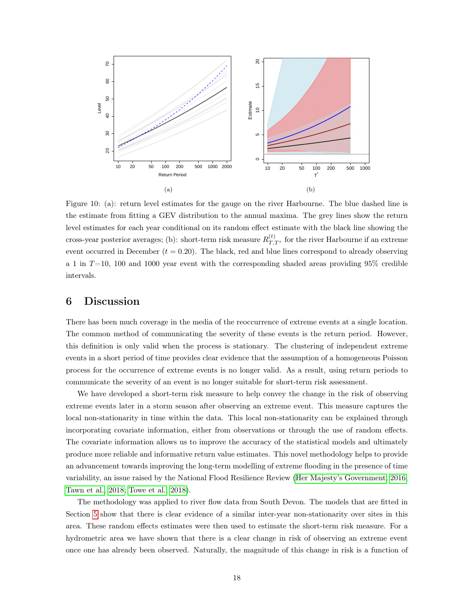<span id="page-17-1"></span>![](_page_17_Figure_0.jpeg)

Figure 10: (a): return level estimates for the gauge on the river Harbourne. The blue dashed line is the estimate from fitting a GEV distribution to the annual maxima. The grey lines show the return level estimates for each year conditional on its random effect estimate with the black line showing the cross-year posterior averages; (b): short-term risk measure  $R_{T,T^*}^{(t)}$  for the river Harbourne if an extreme event occurred in December  $(t = 0.20)$ . The black, red and blue lines correspond to already observing a 1 in  $T=10$ , 100 and 1000 year event with the corresponding shaded areas providing 95% credible intervals.

# <span id="page-17-0"></span>6 Discussion

There has been much coverage in the media of the reoccurrence of extreme events at a single location. The common method of communicating the severity of these events is the return period. However, this definition is only valid when the process is stationary. The clustering of independent extreme events in a short period of time provides clear evidence that the assumption of a homogeneous Poisson process for the occurrence of extreme events is no longer valid. As a result, using return periods to communicate the severity of an event is no longer suitable for short-term risk assessment.

We have developed a short-term risk measure to help convey the change in the risk of observing extreme events later in a storm season after observing an extreme event. This measure captures the local non-stationarity in time within the data. This local non-stationarity can be explained through incorporating covariate information, either from observations or through the use of random effects. The covariate information allows us to improve the accuracy of the statistical models and ultimately produce more reliable and informative return value estimates. This novel methodology helps to provide an advancement towards improving the long-term modelling of extreme flooding in the presence of time variability, an issue raised by the National Flood Resilience Review [\(Her Majesty's Government, 2016;](#page-19-16) [Tawn et al., 2018;](#page-20-8) [Towe et al., 2018\)](#page-20-9).

The methodology was applied to river flow data from South Devon. The models that are fitted in Section [5](#page-11-0) show that there is clear evidence of a similar inter-year non-stationarity over sites in this area. These random effects estimates were then used to estimate the short-term risk measure. For a hydrometric area we have shown that there is a clear change in risk of observing an extreme event once one has already been observed. Naturally, the magnitude of this change in risk is a function of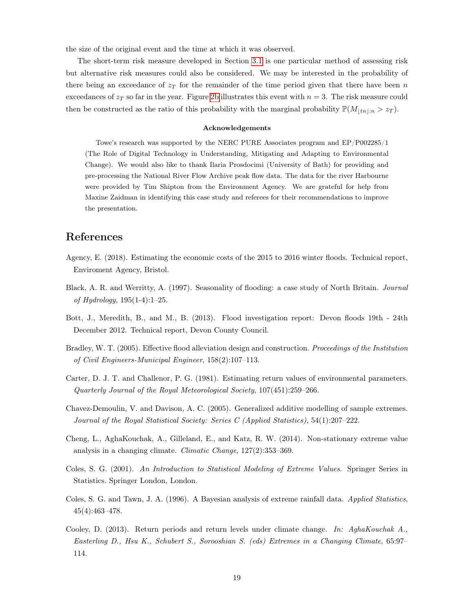the size of the original event and the time at which it was observed.

The short-term risk measure developed in Section [3.1](#page-7-4) is one particular method of assessing risk but alternative risk measures could also be considered. We may be interested in the probability of there being an exceedance of  $z_T$  for the remainder of the time period given that there have been n exceedances of  $z_T$  so far in the year. Figure [2b](#page-8-1) illustrates this event with  $n = 3$ . The risk measure could then be constructed as the ratio of this probability with the marginal probability  $\mathbb{P}(M_{\lfloor tn\rfloor:n} > z_T)$ .

#### Acknowledgements

Towe's research was supported by the NERC PURE Associates program and EP/P002285/1 (The Role of Digital Technology in Understanding, Mitigating and Adapting to Environmental Change). We would also like to thank Ilaria Prosdocimi (University of Bath) for providing and pre-processing the National River Flow Archive peak flow data. The data for the river Harbourne were provided by Tim Shipton from the Environment Agency. We are grateful for help from Maxine Zaidman in identifying this case study and referees for their recommendations to improve the presentation.

# References

- <span id="page-18-1"></span>Agency, E. (2018). Estimating the economic costs of the 2015 to 2016 winter floods. Technical report, Enviroment Agency, Bristol.
- <span id="page-18-4"></span>Black, A. R. and Werritty, A. (1997). Seasonality of flooding: a case study of North Britain. Journal of Hydrology,  $195(1-4):1-25$ .
- <span id="page-18-9"></span>Bott, J., Meredith, B., and M., B. (2013). Flood investigation report: Devon floods 19th - 24th December 2012. Technical report, Devon County Council.
- <span id="page-18-2"></span>Bradley, W. T. (2005). Effective flood alleviation design and construction. Proceedings of the Institution of Civil Engineers-Municipal Engineer, 158(2):107–113.
- <span id="page-18-8"></span>Carter, D. J. T. and Challenor, P. G. (1981). Estimating return values of environmental parameters. Quarterly Journal of the Royal Meteorological Society, 107(451):259–266.
- <span id="page-18-6"></span>Chavez-Demoulin, V. and Davison, A. C. (2005). Generalized additive modelling of sample extremes. Journal of the Royal Statistical Society: Series C (Applied Statistics), 54(1):207–222.
- <span id="page-18-0"></span>Cheng, L., AghaKouchak, A., Gilleland, E., and Katz, R. W. (2014). Non-stationary extreme value analysis in a changing climate. Climatic Change, 127(2):353–369.
- <span id="page-18-5"></span>Coles, S. G. (2001). An Introduction to Statistical Modeling of Extreme Values. Springer Series in Statistics. Springer London, London.
- <span id="page-18-7"></span>Coles, S. G. and Tawn, J. A. (1996). A Bayesian analysis of extreme rainfall data. Applied Statistics, 45(4):463–478.
- <span id="page-18-3"></span>Cooley, D. (2013). Return periods and return levels under climate change. In: AghaKouchak A., Easterling D., Hsu K., Schubert S., Sorooshian S. (eds) Extremes in a Changing Climate, 65:97– 114.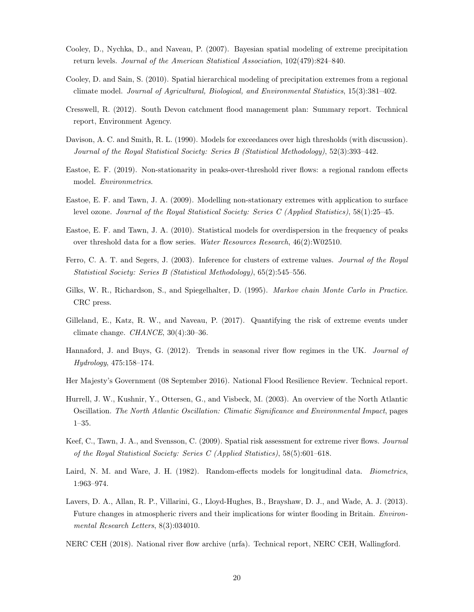- <span id="page-19-10"></span>Cooley, D., Nychka, D., and Naveau, P. (2007). Bayesian spatial modeling of extreme precipitation return levels. Journal of the American Statistical Association, 102(479):824–840.
- <span id="page-19-11"></span>Cooley, D. and Sain, S. (2010). Spatial hierarchical modeling of precipitation extremes from a regional climate model. Journal of Agricultural, Biological, and Environmental Statistics, 15(3):381–402.
- <span id="page-19-0"></span>Cresswell, R. (2012). South Devon catchment flood management plan: Summary report. Technical report, Environment Agency.
- <span id="page-19-3"></span>Davison, A. C. and Smith, R. L. (1990). Models for exceedances over high thresholds (with discussion). Journal of the Royal Statistical Society: Series B (Statistical Methodology), 52(3):393–442.
- <span id="page-19-8"></span>Eastoe, E. F. (2019). Non-stationarity in peaks-over-threshold river flows: a regional random effects model. Environmetrics.
- <span id="page-19-15"></span>Eastoe, E. F. and Tawn, J. A. (2009). Modelling non-stationary extremes with application to surface level ozone. Journal of the Royal Statistical Society: Series C (Applied Statistics), 58(1):25–45.
- <span id="page-19-7"></span>Eastoe, E. F. and Tawn, J. A. (2010). Statistical models for overdispersion in the frequency of peaks over threshold data for a flow series. Water Resources Research, 46(2):W02510.
- <span id="page-19-4"></span>Ferro, C. A. T. and Segers, J. (2003). Inference for clusters of extreme values. Journal of the Royal Statistical Society: Series B (Statistical Methodology), 65(2):545–556.
- <span id="page-19-12"></span>Gilks, W. R., Richardson, S., and Spiegelhalter, D. (1995). *Markov chain Monte Carlo in Practice.* CRC press.
- <span id="page-19-2"></span>Gilleland, E., Katz, R. W., and Naveau, P. (2017). Quantifying the risk of extreme events under climate change. *CHANCE*,  $30(4):30-36$ .
- <span id="page-19-1"></span>Hannaford, J. and Buys, G. (2012). Trends in seasonal river flow regimes in the UK. Journal of Hydrology, 475:158–174.
- <span id="page-19-16"></span>Her Majesty's Government (08 September 2016). National Flood Resilience Review. Technical report.
- <span id="page-19-5"></span>Hurrell, J. W., Kushnir, Y., Ottersen, G., and Visbeck, M. (2003). An overview of the North Atlantic Oscillation. The North Atlantic Oscillation: Climatic Significance and Environmental Impact, pages 1–35.
- <span id="page-19-14"></span>Keef, C., Tawn, J. A., and Svensson, C. (2009). Spatial risk assessment for extreme river flows. Journal of the Royal Statistical Society: Series C (Applied Statistics), 58(5):601–618.
- <span id="page-19-9"></span>Laird, N. M. and Ware, J. H. (1982). Random-effects models for longitudinal data. *Biometrics*, 1:963–974.
- <span id="page-19-6"></span>Lavers, D. A., Allan, R. P., Villarini, G., Lloyd-Hughes, B., Brayshaw, D. J., and Wade, A. J. (2013). Future changes in atmospheric rivers and their implications for winter flooding in Britain. *Environ*mental Research Letters, 8(3):034010.
- <span id="page-19-13"></span>NERC CEH (2018). National river flow archive (nrfa). Technical report, NERC CEH, Wallingford.